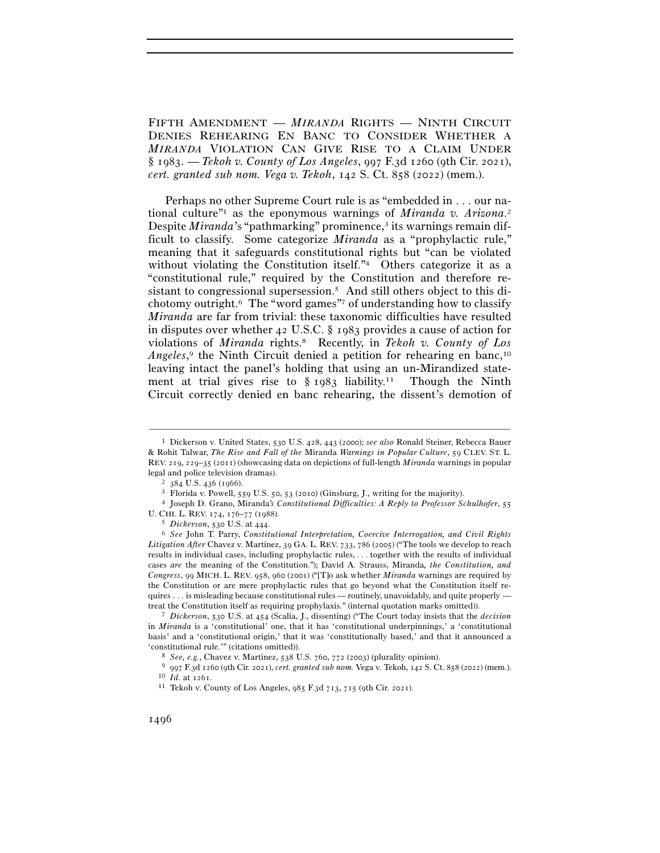FIFTH AMENDMENT — *MIRANDA* RIGHTS — NINTH CIRCUIT DENIES REHEARING EN BANC TO CONSIDER WHETHER A *MIRANDA* VIOLATION CAN GIVE RISE TO A CLAIM UNDER § 1983. — *Tekoh v. County of Los Angeles*, 997 F.3d 1260 (9th Cir. 2021), *cert. granted sub nom. Vega v. Tekoh*, 142 S. Ct. 858 (2022) (mem.).

Perhaps no other Supreme Court rule is as "embedded in . . . our national culture"1 as the eponymous warnings of *Miranda v. Arizona*. 2 Despite *Miranda*'s "pathmarking" prominence,<sup>3</sup> its warnings remain difficult to classify. Some categorize *Miranda* as a "prophylactic rule," meaning that it safeguards constitutional rights but "can be violated without violating the Constitution itself."<sup>4</sup> Others categorize it as a "constitutional rule," required by the Constitution and therefore resistant to congressional supersession.<sup>5</sup> And still others object to this dichotomy outright.6 The "word games"7 of understanding how to classify *Miranda* are far from trivial: these taxonomic difficulties have resulted in disputes over whether 42 U.S.C. § 1983 provides a cause of action for violations of *Miranda* rights.8 Recently, in *Tekoh v. County of Los Angeles*,<sup>9</sup> the Ninth Circuit denied a petition for rehearing en banc,<sup>10</sup> leaving intact the panel's holding that using an un-Mirandized statement at trial gives rise to § 1983 liability.11 Though the Ninth Circuit correctly denied en banc rehearing, the dissent's demotion of

<sup>1</sup> Dickerson v. United States, 530 U.S. 428, 443 (2000); *see also* Ronald Steiner, Rebecca Bauer & Rohit Talwar, *The Rise and Fall of the* Miranda *Warnings in Popular Culture*, 59 CLEV. ST. L. REV. 219, 229–35 (2011) (showcasing data on depictions of full-length *Miranda* warnings in popular legal and police television dramas).<br>
<sup>2</sup> 384 U.S. 436 (1966).<br>
<sup>3</sup> Florida v. Powell, 559 U.S. 50, 53 (2010) (Ginsburg, J., writing for the majority).<br>
<sup>4</sup> Joseph D. Grano, Miranda's *Constitutional Difficulties: A Reply* 

U. CHI. L. REV. <sup>174</sup>, 176–77 (<sup>1988</sup>). 5 *Dickerson*, 530 U.S. at <sup>444</sup>. 6 *See* John T. Parry, *Constitutional Interpretation, Coercive Interrogation, and Civil Rights* 

*Litigation After* Chavez v. Martinez, 39 GA. L. REV. 733, 786 (2005) ("The tools we develop to reach results in individual cases, including prophylactic rules, . . . together with the results of individual cases *are* the meaning of the Constitution."); David A. Strauss, Miranda*, the Constitution, and Congress*, 99 MICH. L. REV. 958, 960 (2001) ("[T]o ask whether *Miranda* warnings are required by the Constitution or are mere prophylactic rules that go beyond what the Constitution itself requires . . . is misleading because constitutional rules — routinely, unavoidably, and quite properly treat the Constitution itself as requiring prophylaxis." (internal quotation marks omitted)). 7 *Dickerson*, 530 U.S. at 454 (Scalia, J., dissenting) ("The Court today insists that the *decision*

in *Miranda* is a 'constitutional' one, that it has 'constitutional underpinnings,' a 'constitutional basis' and a 'constitutional origin,' that it was 'constitutionally based,' and that it announced a

<sup>&</sup>lt;sup>8</sup> *See, e.g.*, Chavez v. Martinez, 538 U.S. 760, 772 (2003) (plurality opinion).<br><sup>9</sup> 997 F.3d 1260 (9th Cir. 2021), *cert. granted sub nom.* Vega v. Tekoh, 142 S. Ct. 858 (2022) (mem.).<br><sup>10</sup> Id. at 1261.<br><sup>11</sup> Tekoh v. C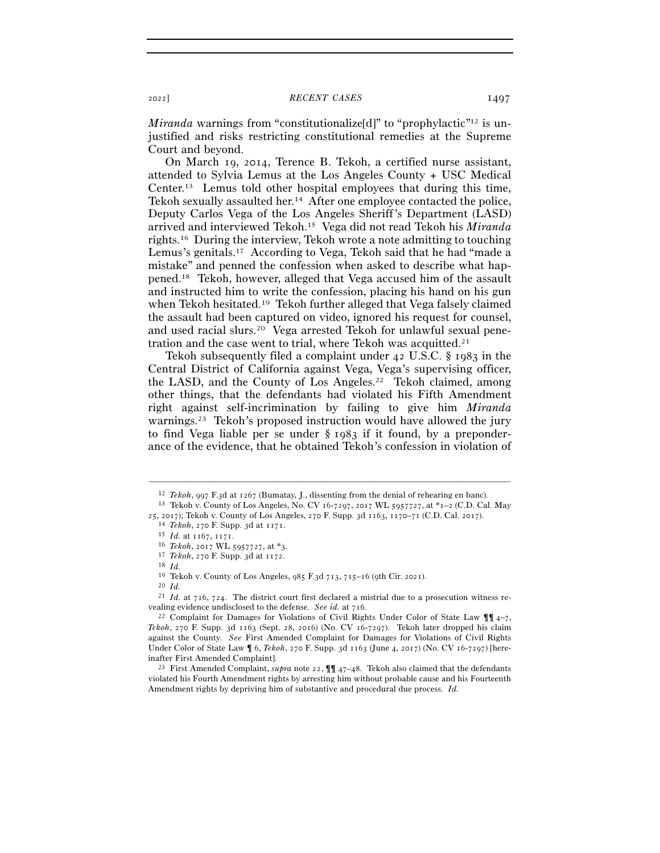*Miranda* warnings from "constitutionalize<sup>[d]"</sup> to "prophylactic<sup>"12</sup> is unjustified and risks restricting constitutional remedies at the Supreme Court and beyond.

On March 19, 2014, Terence B. Tekoh, a certified nurse assistant, attended to Sylvia Lemus at the Los Angeles County + USC Medical Center.13 Lemus told other hospital employees that during this time, Tekoh sexually assaulted her.14 After one employee contacted the police, Deputy Carlos Vega of the Los Angeles Sheriff's Department (LASD) arrived and interviewed Tekoh.15 Vega did not read Tekoh his *Miranda* rights.16 During the interview, Tekoh wrote a note admitting to touching Lemus's genitals.17 According to Vega, Tekoh said that he had "made a mistake" and penned the confession when asked to describe what happened.18 Tekoh, however, alleged that Vega accused him of the assault and instructed him to write the confession, placing his hand on his gun when Tekoh hesitated.19 Tekoh further alleged that Vega falsely claimed the assault had been captured on video, ignored his request for counsel, and used racial slurs.20 Vega arrested Tekoh for unlawful sexual penetration and the case went to trial, where Tekoh was acquitted.21

Tekoh subsequently filed a complaint under 42 U.S.C. § 1983 in the Central District of California against Vega, Vega's supervising officer, the LASD, and the County of Los Angeles.<sup>22</sup> Tekoh claimed, among other things, that the defendants had violated his Fifth Amendment right against self-incrimination by failing to give him *Miranda* warnings.<sup>23</sup> Tekoh's proposed instruction would have allowed the jury to find Vega liable per se under § 1983 if it found, by a preponderance of the evidence, that he obtained Tekoh's confession in violation of

<sup>–––––––––––––––––––––––––––––––––––––––––––––––––––––––––––––</sup> <sup>12</sup> *Tekoh*, 997 F.3d at <sup>1267</sup> (Bumatay, J., dissenting from the denial of rehearing en banc). 13 Tekoh v. County of Los Angeles, No. CV 16-7297, 2017 WL 5957727, at \*1–2 (C.D. Cal. May

<sup>25, 2017);</sup> Tekoh v. County of Los Angeles, 270 F. Supp. 3d 1163, 1170–71 (C.D. Cal. 2017).<br>
<sup>14</sup> Tekoh, 270 F. Supp. 3d at 1171.<br>
<sup>15</sup> Id. at 1167, 1171.<br>
<sup>15</sup> Tekoh, 2017 WL 5957727, at \*3.<br>
<sup>17</sup> Tekoh, 270 F. Supp. 3d a

<sup>&</sup>lt;sup>19</sup> Tekoh v. County of Los Angeles, 985 F.3d 713, 715–16 (9th Cir. 2021). <sup>20</sup> *Id.* 

<sup>21</sup> *Id.* at 716, 724. The district court first declared a mistrial due to a prosecution witness revealing evidence undisclosed to the defense. *See id.* at 716.<br><sup>22</sup> Complaint for Damages for Violations of Civil Rights Under Color of State Law ¶¶ 4–7,

*Tekoh*, 270 F. Supp. 3d 1163 (Sept. 28, 2016) (No. CV 16-7297). Tekoh later dropped his claim against the County. *See* First Amended Complaint for Damages for Violations of Civil Rights Under Color of State Law ¶ 6, *Tekoh*, 270 F. Supp. 3d 1163 (June 4, 2017) (No. CV 16-7297) [here-

inafter First Amended Complaint]. 23 First Amended Complaint, *supra* note 22, ¶¶ <sup>47</sup>–48. Tekoh also claimed that the defendants violated his Fourth Amendment rights by arresting him without probable cause and his Fourteenth Amendment rights by depriving him of substantive and procedural due process. *Id.*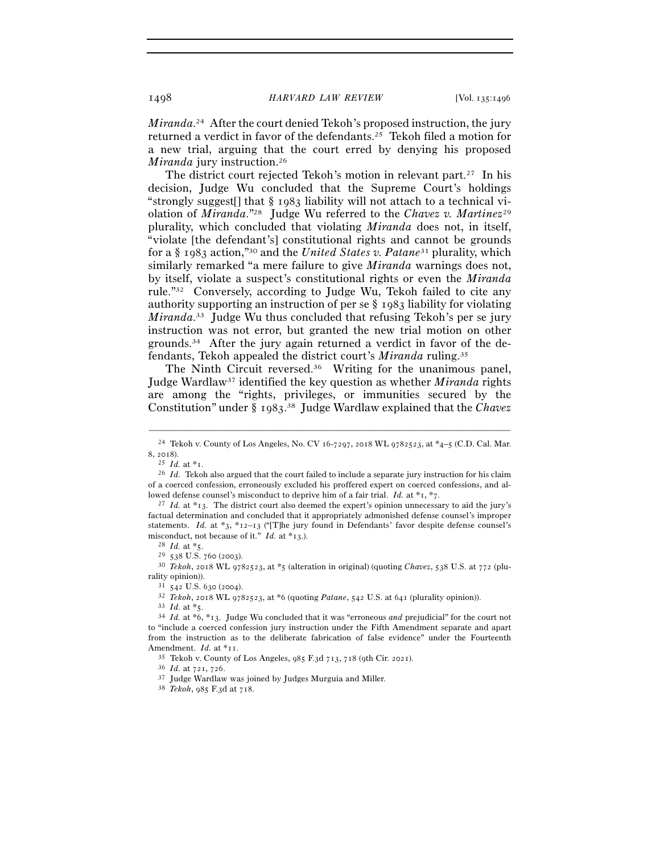*Miranda*. 24 After the court denied Tekoh's proposed instruction, the jury returned a verdict in favor of the defendants.25 Tekoh filed a motion for a new trial, arguing that the court erred by denying his proposed *Miranda* jury instruction. 26

The district court rejected Tekoh's motion in relevant part.<sup>27</sup> In his decision, Judge Wu concluded that the Supreme Court's holdings "strongly suggest<sup>[]</sup> that  $\S$  1983 liability will not attach to a technical violation of *Miranda*."28 Judge Wu referred to the *Chavez v. Martinez*<sup>29</sup> plurality, which concluded that violating *Miranda* does not, in itself, "violate [the defendant's] constitutional rights and cannot be grounds for a § 1983 action,"30 and the *United States v. Patane*31 plurality, which similarly remarked "a mere failure to give *Miranda* warnings does not, by itself, violate a suspect's constitutional rights or even the *Miranda* rule."32 Conversely, according to Judge Wu, Tekoh failed to cite any authority supporting an instruction of per se § 1983 liability for violating *Miranda*. 33 Judge Wu thus concluded that refusing Tekoh's per se jury instruction was not error, but granted the new trial motion on other grounds.34 After the jury again returned a verdict in favor of the defendants, Tekoh appealed the district court's *Miranda* ruling.35

The Ninth Circuit reversed.<sup>36</sup> Writing for the unanimous panel, Judge Wardlaw37 identified the key question as whether *Miranda* rights are among the "rights, privileges, or immunities secured by the Constitution" under § 1983. 38 Judge Wardlaw explained that the *Chavez*

rality opinion)).<br>  $31 \, 542 \, \text{U.S. } 630 \, (2004).$ <br>  $32 \, \text{Tekoh, } 2018 \, \text{WL } 9782523$ , at \*6 (quoting *Patane*, 542 U.S. at 641 (plurality opinion)).<br>  $33 \, \text{Id. at } *5.$ <br>  $34 \, \text{Id. at } *6, *13.$  Judge Wu concluded that it was

<sup>–––––––––––––––––––––––––––––––––––––––––––––––––––––––––––––</sup> <sup>24</sup> Tekoh v. County of Los Angeles, No. CV 16-7297, 2018 WL 9782523, at \*4–5 (C.D. Cal. Mar. <sup>8</sup>, <sup>2018</sup>). 25 *Id.* at \*<sup>1</sup>. 26 *Id.* Tekoh also argued that the court failed to include a separate jury instruction for his claim

of a coerced confession, erroneously excluded his proffered expert on coerced confessions, and allowed defense counsel's misconduct to deprive him of a fair trial. *Id.* at \*1, \*7.<br><sup>27</sup> *Id.* at \*13. The district court also deemed the expert's opinion unnecessary to aid the jury's

factual determination and concluded that it appropriately admonished defense counsel's improper statements. *Id.* at \*3, \*12–13 ("[T]he jury found in Defendants' favor despite defense counsel's misconduct, not because of it." *Id.* at \*13.).<br><sup>28</sup> *Id.* at \*5.<br><sup>29</sup> 538 U.S. 760 (2003).<br><sup>30</sup> *Tekoh*, 2018 WL 9782523, at \*5 (alteration in original) (quoting *Chavez*, 538 U.S. at 772 (plu-

to "include a coerced confession jury instruction under the Fifth Amendment separate and apart from the instruction as to the deliberate fabrication of false evidence" under the Fourteenth Amendment. *Id.* at \*11.<br><sup>35</sup> Tekoh v. County of Los Angeles, 985 F.3d 713, 718 (9th Cir. 2021).<br><sup>36</sup> *Id.* at 721, 726.<br><sup>37</sup> Judge Wardlaw was joined by Judges Murguia and Miller.<br><sup>38</sup> *Tekoh*, 985 F.3d at 718.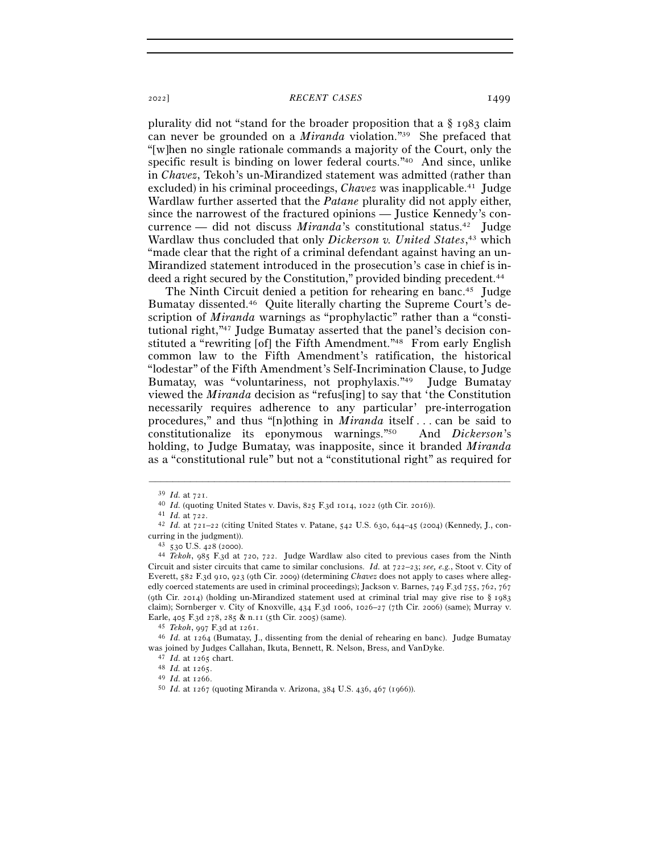## <sup>2022</sup>] *RECENT CASES* 1499

plurality did not "stand for the broader proposition that a § 1983 claim can never be grounded on a *Miranda* violation."39 She prefaced that "[w]hen no single rationale commands a majority of the Court, only the specific result is binding on lower federal courts."40 And since, unlike in *Chavez*, Tekoh's un-Mirandized statement was admitted (rather than excluded) in his criminal proceedings, *Chavez* was inapplicable.<sup>41</sup> Judge Wardlaw further asserted that the *Patane* plurality did not apply either, since the narrowest of the fractured opinions — Justice Kennedy's concurrence — did not discuss *Miranda*'s constitutional status.<sup>42</sup> Judge Wardlaw thus concluded that only *Dickerson v. United States*, 43 which "made clear that the right of a criminal defendant against having an un-Mirandized statement introduced in the prosecution's case in chief is indeed a right secured by the Constitution," provided binding precedent.<sup>44</sup>

The Ninth Circuit denied a petition for rehearing en banc.<sup>45</sup> Judge Bumatay dissented.46 Quite literally charting the Supreme Court's description of *Miranda* warnings as "prophylactic" rather than a "constitutional right,"47 Judge Bumatay asserted that the panel's decision constituted a "rewriting [of] the Fifth Amendment."48 From early English common law to the Fifth Amendment's ratification, the historical "lodestar" of the Fifth Amendment's Self-Incrimination Clause, to Judge Bumatay, was "voluntariness, not prophylaxis."49 Judge Bumatay viewed the *Miranda* decision as "refus[ing] to say that 'the Constitution necessarily requires adherence to any particular' pre-interrogation procedures," and thus "[n]othing in *Miranda* itself . . . can be said to constitutionalize its eponymous warnings."50 And *Dickerson*'s holding, to Judge Bumatay, was inapposite, since it branded *Miranda* as a "constitutional rule" but not a "constitutional right" as required for

<sup>&</sup>lt;sup>39</sup> *Id.* at 721.<br>
<sup>40</sup> *Id.* (quoting United States v. Davis, 825 F.3d 1014, 1022 (9th Cir. 2016)).<br>
<sup>41</sup> *Id.* at 722.<br>
<sup>42</sup> *Id.* at 721–22 (citing United States v. Patane, 542 U.S. 630, 644–45 (2004) (Kennedy, J., co

curring in the judgment)). 43 <sup>530</sup> U.S. 428 (<sup>2000</sup>). 44 *Tekoh*, 985 F.3d at 720, 722. Judge Wardlaw also cited to previous cases from the Ninth Circuit and sister circuits that came to similar conclusions. *Id.* at 722–23; *see, e.g.*, Stoot v. City of Everett, 582 F.3d 910, 923 (9th Cir. 2009) (determining *Chavez* does not apply to cases where allegedly coerced statements are used in criminal proceedings); Jackson v. Barnes, 749 F.3d 755, 762, 767 (9th Cir. 2014) (holding un-Mirandized statement used at criminal trial may give rise to § 1983 claim); Sornberger v. City of Knoxville, 434 F.3d 1006, 1026–27 (7th Cir. 2006) (same); Murray v. Earle, 405 F.3d 278, 285 & n.11 (5th Cir. <sup>2005</sup>) (same). 45 *Tekoh*, 997 F.3d at <sup>1261</sup>. 46 *Id.* at 1264 (Bumatay, J., dissenting from the denial of rehearing en banc). Judge Bumatay

was joined by Judges Callahan, Ikuta, Bennett, R. Nelson, Bress, and VanDyke.<br>  $^{47}$ Id. at 1265 chart.<br>  $^{48}$ Id. at 1265.<br>  $^{49}$ Id. at 1266.<br>  $^{50}$ Id. at 1267 (quoting Miranda v. Arizona, 384 U.S. 436, 467 (1966)).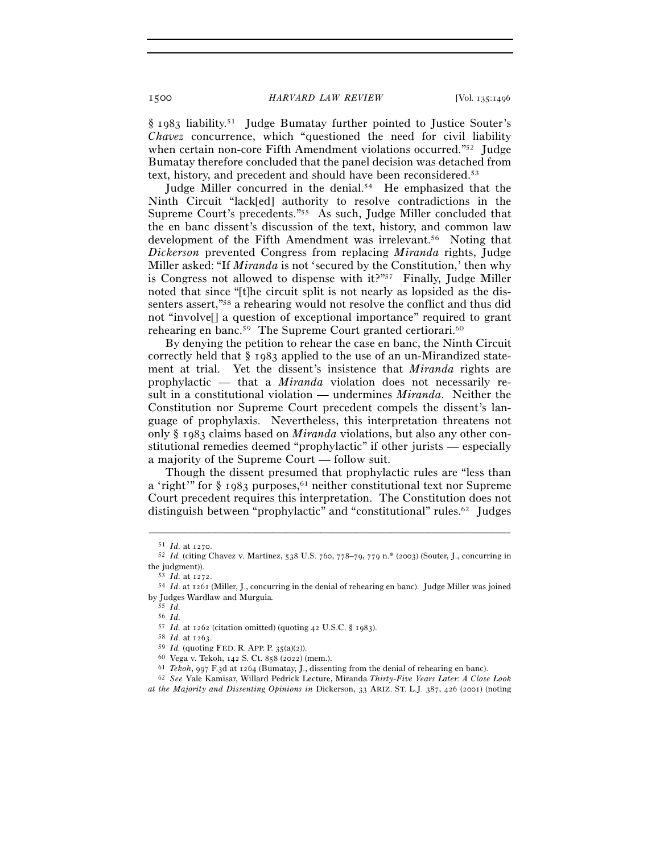1500 *HARVARD LAW REVIEW* [Vol. 135:<sup>1496</sup>

§ 1983 liability.51 Judge Bumatay further pointed to Justice Souter's *Chavez* concurrence, which "questioned the need for civil liability when certain non-core Fifth Amendment violations occurred."<sup>52</sup> Judge Bumatay therefore concluded that the panel decision was detached from text, history, and precedent and should have been reconsidered.53

Judge Miller concurred in the denial.<sup>54</sup> He emphasized that the Ninth Circuit "lack[ed] authority to resolve contradictions in the Supreme Court's precedents."55 As such, Judge Miller concluded that the en banc dissent's discussion of the text, history, and common law development of the Fifth Amendment was irrelevant.<sup>56</sup> Noting that *Dickerson* prevented Congress from replacing *Miranda* rights, Judge Miller asked: "If *Miranda* is not 'secured by the Constitution,' then why is Congress not allowed to dispense with  $it^{2}$ <sup>757</sup> Finally, Judge Miller noted that since "[t]he circuit split is not nearly as lopsided as the dissenters assert,"58 a rehearing would not resolve the conflict and thus did not "involve[] a question of exceptional importance" required to grant rehearing en banc.<sup>59</sup> The Supreme Court granted certiorari.<sup>60</sup>

By denying the petition to rehear the case en banc, the Ninth Circuit correctly held that § 1983 applied to the use of an un-Mirandized statement at trial. Yet the dissent's insistence that *Miranda* rights are prophylactic — that a *Miranda* violation does not necessarily result in a constitutional violation — undermines *Miranda*. Neither the Constitution nor Supreme Court precedent compels the dissent's language of prophylaxis. Nevertheless, this interpretation threatens not only § 1983 claims based on *Miranda* violations, but also any other constitutional remedies deemed "prophylactic" if other jurists — especially a majority of the Supreme Court — follow suit.

Though the dissent presumed that prophylactic rules are "less than a 'right'" for  $\S$  1983 purposes,<sup>61</sup> neither constitutional text nor Supreme Court precedent requires this interpretation. The Constitution does not distinguish between "prophylactic" and "constitutional" rules.62 Judges

–––––––––––––––––––––––––––––––––––––––––––––––––––––––––––––

56 *Id.*

<sup>51</sup> *Id.* at <sup>1270</sup>. 52 *Id.* (citing Chavez v. Martinez, 538 U.S. 760, 778–79, 779 n.\* (2003) (Souter, J., concurring in the judgment)). 53 *Id.* at <sup>1272</sup>. 54 *Id.* at 1261 (Miller, J., concurring in the denial of rehearing en banc). Judge Miller was joined

by Judges Wardlaw and Murguia*.*

<sup>55</sup> *Id.*

<sup>&</sup>lt;sup>58</sup> *Id.* at 1263.<br><sup>59</sup> *Id.* (quoting FED. R. APP. P. 35(a)(2)).<br><sup>60</sup> Vega v. Tekoh, 142 S. Ct. 858 (2022) (mem.).<br><sup>61</sup> *Tekoh*, 997 F.3d at 1264 (Bumatay, J., dissenting from the denial of rehearing en banc).<br><sup>62</sup> *See* 

*at the Majority and Dissenting Opinions in* Dickerson, 33 ARIZ. ST. L.J. 387, 426 (2001) (noting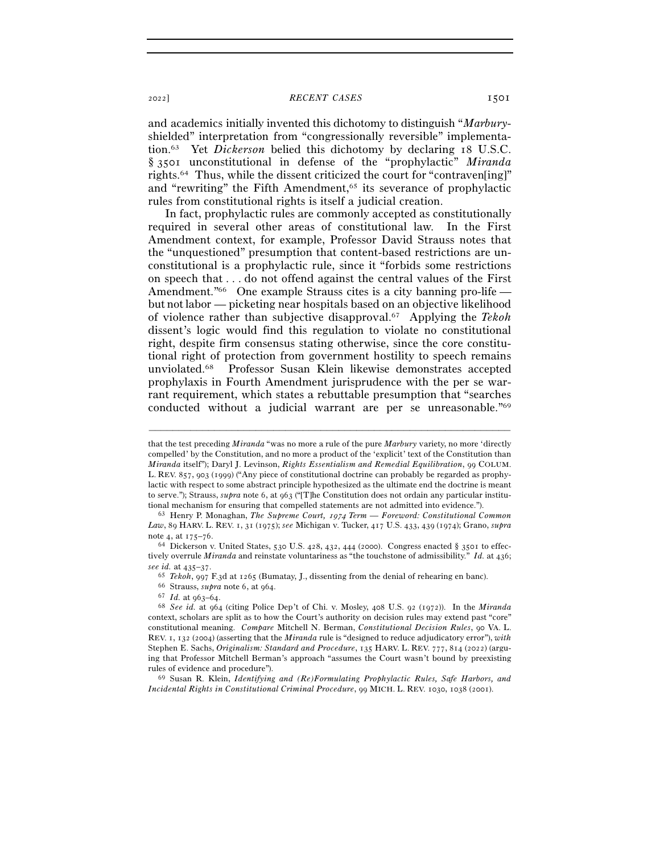## <sup>2022</sup>] *RECENT CASES* 1501

and academics initially invented this dichotomy to distinguish "*Marbury*shielded" interpretation from "congressionally reversible" implementation.63 Yet *Dickerson* belied this dichotomy by declaring 18 U.S.C. § 3501 unconstitutional in defense of the "prophylactic" *Miranda* rights.64 Thus, while the dissent criticized the court for "contraven[ing]" and "rewriting" the Fifth Amendment,<sup>65</sup> its severance of prophylactic rules from constitutional rights is itself a judicial creation.

In fact, prophylactic rules are commonly accepted as constitutionally required in several other areas of constitutional law. In the First Amendment context, for example, Professor David Strauss notes that the "unquestioned" presumption that content-based restrictions are unconstitutional is a prophylactic rule, since it "forbids some restrictions on speech that . . . do not offend against the central values of the First Amendment.<sup>"66</sup> One example Strauss cites is a city banning pro-life but not labor — picketing near hospitals based on an objective likelihood of violence rather than subjective disapproval.67 Applying the *Tekoh* dissent's logic would find this regulation to violate no constitutional right, despite firm consensus stating otherwise, since the core constitutional right of protection from government hostility to speech remains unviolated.68 Professor Susan Klein likewise demonstrates accepted prophylaxis in Fourth Amendment jurisprudence with the per se warrant requirement, which states a rebuttable presumption that "searches conducted without a judicial warrant are per se unreasonable."69

that the test preceding *Miranda* "was no more a rule of the pure *Marbury* variety, no more 'directly compelled' by the Constitution, and no more a product of the 'explicit' text of the Constitution than *Miranda* itself"); Daryl J. Levinson, *Rights Essentialism and Remedial Equilibration*, 99 COLUM. L. REV. 857, 903 (1999) ("Any piece of constitutional doctrine can probably be regarded as prophylactic with respect to some abstract principle hypothesized as the ultimate end the doctrine is meant to serve."); Strauss, *supra* note 6, at 963 ("[T]he Constitution does not ordain any particular institutional mechanism for ensuring that compelled statements are not admitted into evidence."). 63 Henry P. Monaghan, *The Supreme Court,* 1974 *Term — Foreword: Constitutional Common* 

*Law*, 89 HARV. L. REV. 1, 31 (1975); *see* Michigan v. Tucker, 417 U.S. 433, 439 (1974); Grano, *supra* note 4, at 175–76.<br><sup>64</sup> Dickerson v. United States, 530 U.S. 428, 432, 444 (2000). Congress enacted § 3501 to effec-

tively overrule *Miranda* and reinstate voluntariness as "the touchstone of admissibility." *Id.* at 436; see id. at 435–37.<br>
<sup>65</sup> Tekoh, 997 F.3d at 1265 (Bumatay, J., dissenting from the denial of rehearing en banc).<br>
<sup>66</sup> Strauss, *supra* note 6, at 964.<br>
<sup>67</sup> Id. at 963–64.<br>
<sup>68</sup> See id. at 964 (citing Police Dep't of Chi

context, scholars are split as to how the Court's authority on decision rules may extend past "core" constitutional meaning. *Compare* Mitchell N. Berman, *Constitutional Decision Rules*, 90 VA. L. REV. 1, 132 (2004) (asserting that the *Miranda* rule is "designed to reduce adjudicatory error"), *with* Stephen E. Sachs, *Originalism: Standard and Procedure*, 135 HARV. L. REV. 777, 814 (2022) (arguing that Professor Mitchell Berman's approach "assumes the Court wasn't bound by preexisting rules of evidence and procedure"). 69 Susan R. Klein, *Identifying and (Re)Formulating Prophylactic Rules, Safe Harbors, and* 

*Incidental Rights in Constitutional Criminal Procedure*, 99 MICH. L. REV. 1030, 1038 (2001).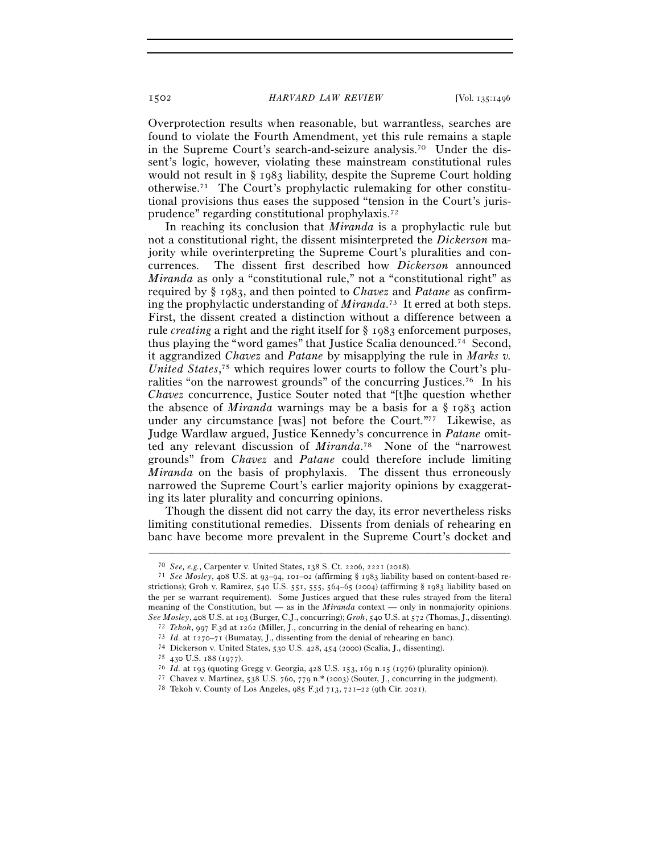1502 *HARVARD LAW REVIEW* [Vol. 135:<sup>1496</sup>

Overprotection results when reasonable, but warrantless, searches are found to violate the Fourth Amendment, yet this rule remains a staple in the Supreme Court's search-and-seizure analysis.70 Under the dissent's logic, however, violating these mainstream constitutional rules would not result in § 1983 liability, despite the Supreme Court holding otherwise.71 The Court's prophylactic rulemaking for other constitutional provisions thus eases the supposed "tension in the Court's jurisprudence" regarding constitutional prophylaxis.72

In reaching its conclusion that *Miranda* is a prophylactic rule but not a constitutional right, the dissent misinterpreted the *Dickerson* majority while overinterpreting the Supreme Court's pluralities and concurrences. The dissent first described how *Dickerson* announced *Miranda* as only a "constitutional rule," not a "constitutional right" as required by § 1983, and then pointed to *Chavez* and *Patane* as confirming the prophylactic understanding of *Miranda*. 73 It erred at both steps. First, the dissent created a distinction without a difference between a rule *creating* a right and the right itself for § 1983 enforcement purposes, thus playing the "word games" that Justice Scalia denounced.74 Second, it aggrandized *Chavez* and *Patane* by misapplying the rule in *Marks v. United States*, 75 which requires lower courts to follow the Court's pluralities "on the narrowest grounds" of the concurring Justices.76 In his *Chavez* concurrence, Justice Souter noted that "[t]he question whether the absence of *Miranda* warnings may be a basis for a § 1983 action under any circumstance [was] not before the Court."77 Likewise, as Judge Wardlaw argued, Justice Kennedy's concurrence in *Patane* omitted any relevant discussion of *Miranda*. 78 None of the "narrowest grounds" from *Chavez* and *Patane* could therefore include limiting *Miranda* on the basis of prophylaxis. The dissent thus erroneously narrowed the Supreme Court's earlier majority opinions by exaggerating its later plurality and concurring opinions.

Though the dissent did not carry the day, its error nevertheless risks limiting constitutional remedies. Dissents from denials of rehearing en banc have become more prevalent in the Supreme Court's docket and

<sup>70</sup> *See, e.g.*, Carpenter v. United States, 138 S. Ct. 2206, 2221 (<sup>2018</sup>). 71 *See Mosley*, 408 U.S. at 93–94, 101–02 (affirming § <sup>1983</sup> liability based on content-based restrictions); Groh v. Ramirez, 540 U.S. 551, 555, 564–65 (2004) (affirming § 1983 liability based on the per se warrant requirement). Some Justices argued that these rules strayed from the literal meaning of the Constitution, but — as in the *Miranda* context — only in nonmajority opinions. See Mosley, 408 U.S. at 103 (Burger, C.J., concurring); *Groh*, 540 U.S. at 572 (Thomas, J., dissenting).<br><sup>72</sup> Tekoh, 997 F.3d at 1262 (Miller, J., concurring in the denial of rehearing en banc).<br><sup>73</sup> Id. at 1270–71 (Buma